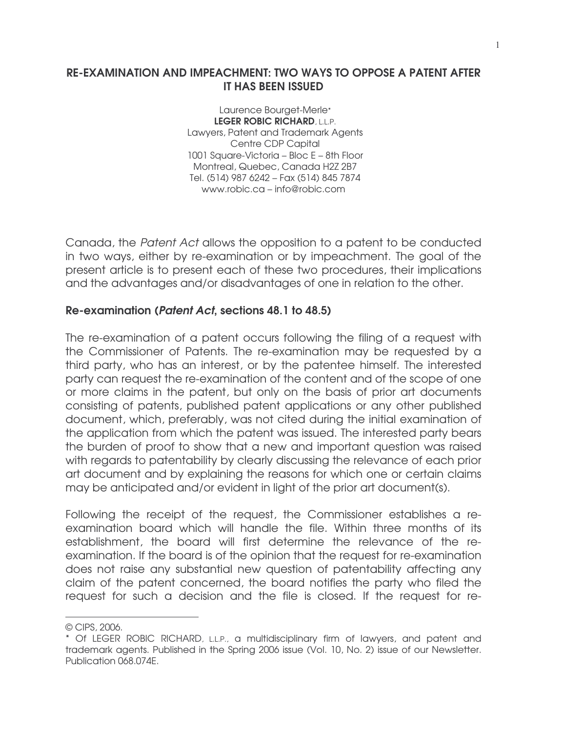## RE-EXAMINATION AND IMPEACHMENT: TWO WAYS TO OPPOSE A PATENT AFTER IT HAS BEEN ISSUED

Laurence Bourget-Merle\* LEGER ROBIC RICHARD, L.L.P. Lawyers, Patent and Trademark Agents Centre CDP Capital 1001 Square-Victoria – Bloc E – 8th Floor Montreal, Quebec, Canada H2Z 2B7 Tel. (514) 987 6242 – Fax (514) 845 7874 www.robic.ca – info@robic.com

Canada, the Patent Act allows the opposition to a patent to be conducted in two ways, either by re-examination or by impeachment. The goal of the present article is to present each of these two procedures, their implications and the advantages and/or disadvantages of one in relation to the other.

## Re-examination (Patent Act, sections 48.1 to 48.5)

The re-examination of a patent occurs following the filing of a request with the Commissioner of Patents. The re-examination may be requested by a third party, who has an interest, or by the patentee himself. The interested party can request the re-examination of the content and of the scope of one or more claims in the patent, but only on the basis of prior art documents consisting of patents, published patent applications or any other published document, which, preferably, was not cited during the initial examination of the application from which the patent was issued. The interested party bears the burden of proof to show that a new and important question was raised with regards to patentability by clearly discussing the relevance of each prior art document and by explaining the reasons for which one or certain claims may be anticipated and/or evident in light of the prior art document(s).

Following the receipt of the request, the Commissioner establishes a reexamination board which will handle the file. Within three months of its establishment, the board will first determine the relevance of the reexamination. If the board is of the opinion that the request for re-examination does not raise any substantial new question of patentability affecting any claim of the patent concerned, the board notifies the party who filed the request for such a decision and the file is closed. If the request for re-

<u> 1980 - Johann Barn, mars an t-Amerikaansk ferskeizh (</u>

<sup>©</sup> CIPS, 2006.

<sup>\*</sup> Of LEGER ROBIC RICHARD, L.L.P., a multidisciplinary firm of lawyers, and patent and trademark agents. Published in the Spring 2006 issue (Vol. 10, No. 2) issue of our Newsletter. Publication 068.074E.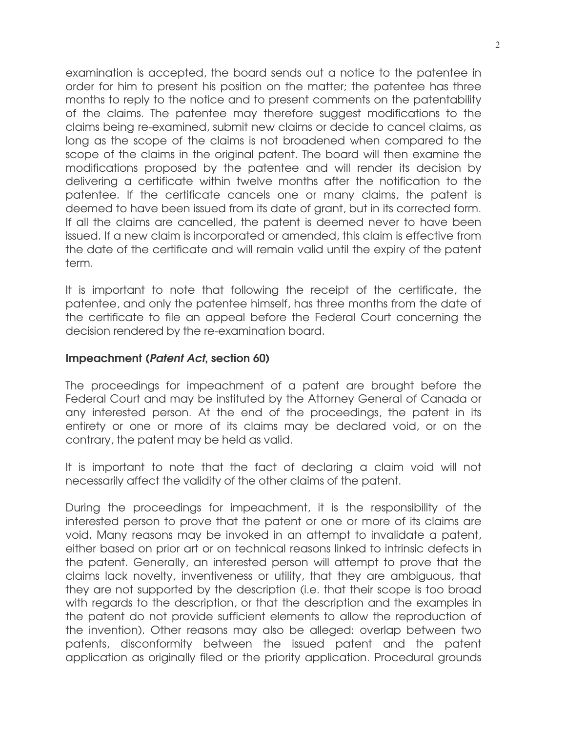examination is accepted, the board sends out a notice to the patentee in order for him to present his position on the matter; the patentee has three months to reply to the notice and to present comments on the patentability of the claims. The patentee may therefore suggest modifications to the claims being re-examined, submit new claims or decide to cancel claims, as long as the scope of the claims is not broadened when compared to the scope of the claims in the original patent. The board will then examine the modifications proposed by the patentee and will render its decision by delivering a certificate within twelve months after the notification to the patentee. If the certificate cancels one or many claims, the patent is deemed to have been issued from its date of grant, but in its corrected form. If all the claims are cancelled, the patent is deemed never to have been issued. If a new claim is incorporated or amended, this claim is effective from the date of the certificate and will remain valid until the expiry of the patent term.

It is important to note that following the receipt of the certificate, the patentee, and only the patentee himself, has three months from the date of the certificate to file an appeal before the Federal Court concerning the decision rendered by the re-examination board.

## Impeachment (Patent Act, section 60)

The proceedings for impeachment of a patent are brought before the Federal Court and may be instituted by the Attorney General of Canada or any interested person. At the end of the proceedings, the patent in its entirety or one or more of its claims may be declared void, or on the contrary, the patent may be held as valid.

It is important to note that the fact of declaring a claim void will not necessarily affect the validity of the other claims of the patent.

During the proceedings for impeachment, it is the responsibility of the interested person to prove that the patent or one or more of its claims are void. Many reasons may be invoked in an attempt to invalidate a patent, either based on prior art or on technical reasons linked to intrinsic defects in the patent. Generally, an interested person will attempt to prove that the claims lack novelty, inventiveness or utility, that they are ambiguous, that they are not supported by the description (i.e. that their scope is too broad with regards to the description, or that the description and the examples in the patent do not provide sufficient elements to allow the reproduction of the invention). Other reasons may also be alleged: overlap between two patents, disconformity between the issued patent and the patent application as originally filed or the priority application. Procedural grounds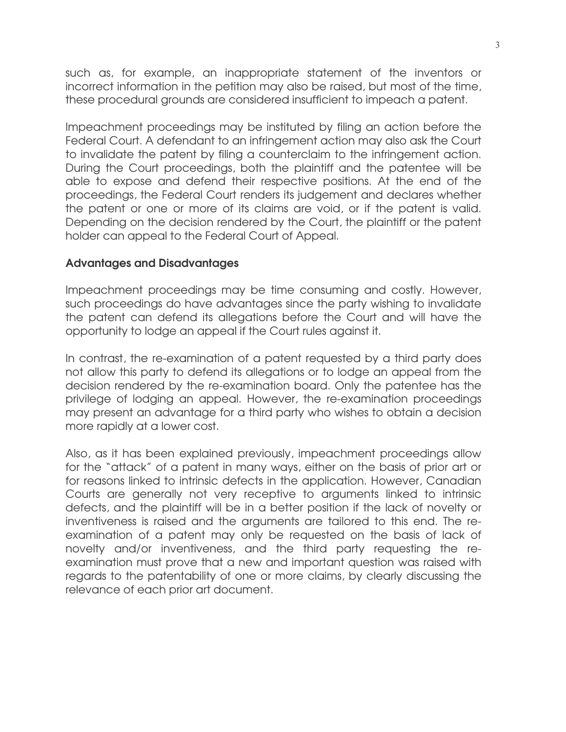such as, for example, an inappropriate statement of the inventors or incorrect information in the petition may also be raised, but most of the time, these procedural grounds are considered insufficient to impeach a patent.

Impeachment proceedings may be instituted by filing an action before the Federal Court. A defendant to an infringement action may also ask the Court to invalidate the patent by filing a counterclaim to the infringement action. During the Court proceedings, both the plaintiff and the patentee will be able to expose and defend their respective positions. At the end of the proceedings, the Federal Court renders its judgement and declares whether the patent or one or more of its claims are void, or if the patent is valid. Depending on the decision rendered by the Court, the plaintiff or the patent holder can appeal to the Federal Court of Appeal.

## Advantages and Disadvantages

Impeachment proceedings may be time consuming and costly. However, such proceedings do have advantages since the party wishing to invalidate the patent can defend its allegations before the Court and will have the opportunity to lodge an appeal if the Court rules against it.

In contrast, the re-examination of a patent requested by a third party does not allow this party to defend its allegations or to lodge an appeal from the decision rendered by the re-examination board. Only the patentee has the privilege of lodging an appeal. However, the re-examination proceedings may present an advantage for a third party who wishes to obtain a decision more rapidly at a lower cost.

Also, as it has been explained previously, impeachment proceedings allow for the "attack" of a patent in many ways, either on the basis of prior art or for reasons linked to intrinsic defects in the application. However, Canadian Courts are generally not very receptive to arguments linked to intrinsic defects, and the plaintiff will be in a better position if the lack of novelty or inventiveness is raised and the arguments are tailored to this end. The reexamination of a patent may only be requested on the basis of lack of novelty and/or inventiveness, and the third party requesting the reexamination must prove that a new and important question was raised with regards to the patentability of one or more claims, by clearly discussing the relevance of each prior art document.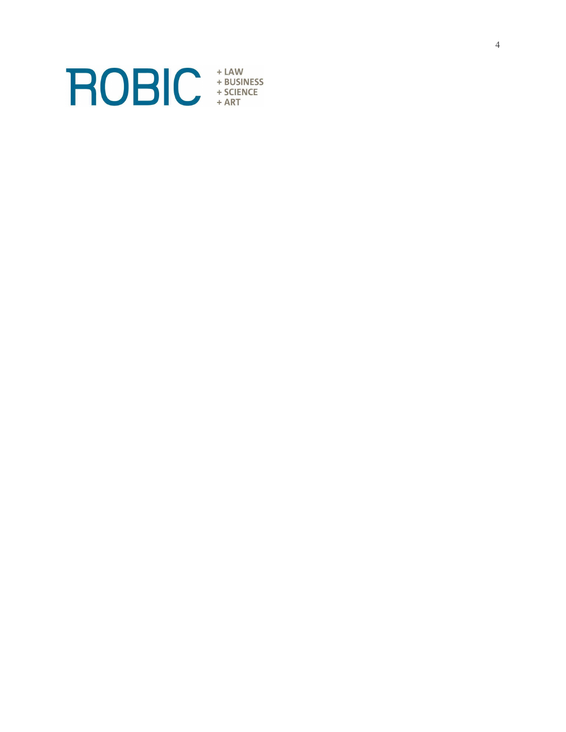